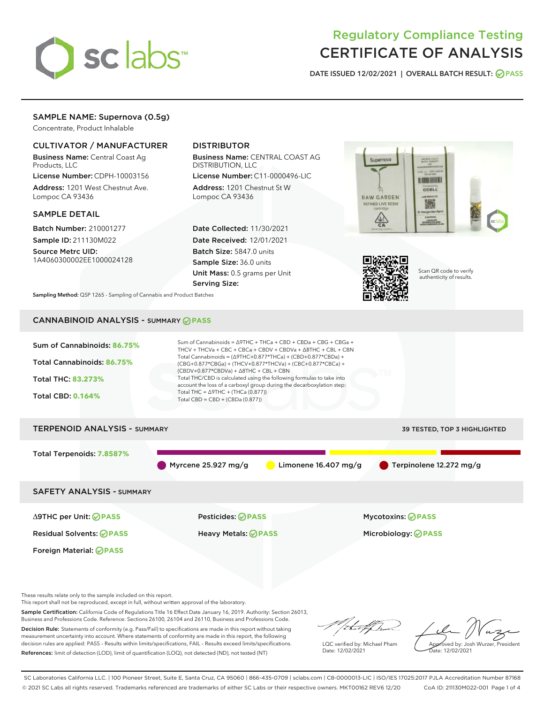

# Regulatory Compliance Testing CERTIFICATE OF ANALYSIS

DATE ISSUED 12/02/2021 | OVERALL BATCH RESULT: @ PASS

## SAMPLE NAME: Supernova (0.5g)

Concentrate, Product Inhalable

## CULTIVATOR / MANUFACTURER

Business Name: Central Coast Ag Products, LLC

License Number: CDPH-10003156 Address: 1201 West Chestnut Ave. Lompoc CA 93436

### SAMPLE DETAIL

Batch Number: 210001277 Sample ID: 211130M022

Source Metrc UID: 1A4060300002EE1000024128

## DISTRIBUTOR

Business Name: CENTRAL COAST AG DISTRIBUTION, LLC

License Number: C11-0000496-LIC Address: 1201 Chestnut St W Lompoc CA 93436

Date Collected: 11/30/2021 Date Received: 12/01/2021 Batch Size: 5847.0 units Sample Size: 36.0 units Unit Mass: 0.5 grams per Unit Serving Size:





Scan QR code to verify authenticity of results.

Sampling Method: QSP 1265 - Sampling of Cannabis and Product Batches

## CANNABINOID ANALYSIS - SUMMARY **PASS**



Business and Professions Code. Reference: Sections 26100, 26104 and 26110, Business and Professions Code. Decision Rule: Statements of conformity (e.g. Pass/Fail) to specifications are made in this report without taking measurement uncertainty into account. Where statements of conformity are made in this report, the following decision rules are applied: PASS – Results within limits/specifications, FAIL – Results exceed limits/specifications. References: limit of detection (LOD), limit of quantification (LOQ), not detected (ND), not tested (NT)

that f ha

LQC verified by: Michael Pham Date: 12/02/2021

Approved by: Josh Wurzer, President ate: 12/02/2021

SC Laboratories California LLC. | 100 Pioneer Street, Suite E, Santa Cruz, CA 95060 | 866-435-0709 | sclabs.com | C8-0000013-LIC | ISO/IES 17025:2017 PJLA Accreditation Number 87168 © 2021 SC Labs all rights reserved. Trademarks referenced are trademarks of either SC Labs or their respective owners. MKT00162 REV6 12/20 CoA ID: 211130M022-001 Page 1 of 4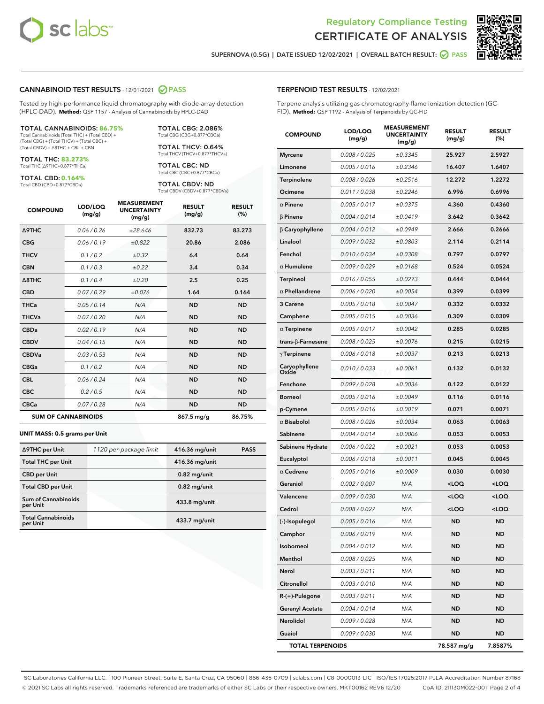

Terpene analysis utilizing gas chromatography-flame ionization detection (GC-



SUPERNOVA (0.5G) | DATE ISSUED 12/02/2021 | OVERALL BATCH RESULT:  $\bigcirc$  PASS

TERPENOID TEST RESULTS - 12/02/2021

FID). **Method:** QSP 1192 - Analysis of Terpenoids by GC-FID

#### CANNABINOID TEST RESULTS - 12/01/2021 2 PASS

Tested by high-performance liquid chromatography with diode-array detection (HPLC-DAD). **Method:** QSP 1157 - Analysis of Cannabinoids by HPLC-DAD

#### TOTAL CANNABINOIDS: **86.75%**

Total Cannabinoids (Total THC) + (Total CBD) + (Total CBG) + (Total THCV) + (Total CBC) + (Total CBDV) + ∆8THC + CBL + CBN

TOTAL THC: **83.273%** Total THC (∆9THC+0.877\*THCa)

TOTAL CBD: **0.164%**

Total CBD (CBD+0.877\*CBDa)

TOTAL CBG: 2.086% Total CBG (CBG+0.877\*CBGa)

TOTAL THCV: 0.64% Total THCV (THCV+0.877\*THCVa)

TOTAL CBC: ND Total CBC (CBC+0.877\*CBCa)

TOTAL CBDV: ND Total CBDV (CBDV+0.877\*CBDVa)

| <b>COMPOUND</b>            | LOD/LOQ<br>(mg/g) | <b>MEASUREMENT</b><br><b>UNCERTAINTY</b><br>(mg/g) | <b>RESULT</b><br>(mg/g) | <b>RESULT</b><br>(%) |
|----------------------------|-------------------|----------------------------------------------------|-------------------------|----------------------|
| <b>A9THC</b>               | 0.06 / 0.26       | ±28.646                                            | 832.73                  | 83.273               |
| <b>CBG</b>                 | 0.06 / 0.19       | ±0.822                                             | 20.86                   | 2.086                |
| <b>THCV</b>                | 0.1 / 0.2         | $\pm 0.32$                                         | 6.4                     | 0.64                 |
| <b>CBN</b>                 | 0.1/0.3           | ±0.22                                              | 3.4                     | 0.34                 |
| $\triangle$ 8THC           | 0.1/0.4           | ±0.20                                              | 2.5                     | 0.25                 |
| <b>CBD</b>                 | 0.07/0.29         | ±0.076                                             | 1.64                    | 0.164                |
| <b>THCa</b>                | 0.05/0.14         | N/A                                                | <b>ND</b>               | <b>ND</b>            |
| <b>THCVa</b>               | 0.07/0.20         | N/A                                                | <b>ND</b>               | <b>ND</b>            |
| <b>CBDa</b>                | 0.02/0.19         | N/A                                                | <b>ND</b>               | <b>ND</b>            |
| <b>CBDV</b>                | 0.04 / 0.15       | N/A                                                | <b>ND</b>               | <b>ND</b>            |
| <b>CBDVa</b>               | 0.03/0.53         | N/A                                                | <b>ND</b>               | <b>ND</b>            |
| <b>CBGa</b>                | 0.1/0.2           | N/A                                                | <b>ND</b>               | <b>ND</b>            |
| <b>CBL</b>                 | 0.06 / 0.24       | N/A                                                | <b>ND</b>               | <b>ND</b>            |
| <b>CBC</b>                 | 0.2 / 0.5         | N/A                                                | <b>ND</b>               | <b>ND</b>            |
| <b>CBCa</b>                | 0.07 / 0.28       | N/A                                                | <b>ND</b>               | <b>ND</b>            |
| <b>SUM OF CANNABINOIDS</b> |                   |                                                    | 867.5 mg/g              | 86.75%               |

#### **UNIT MASS: 0.5 grams per Unit**

| ∆9THC per Unit                        | 1120 per-package limit | 416.36 mg/unit  | <b>PASS</b> |
|---------------------------------------|------------------------|-----------------|-------------|
| <b>Total THC per Unit</b>             |                        | 416.36 mg/unit  |             |
| <b>CBD per Unit</b>                   |                        | $0.82$ mg/unit  |             |
| <b>Total CBD per Unit</b>             |                        | $0.82$ mg/unit  |             |
| Sum of Cannabinoids<br>per Unit       |                        | 433.8 mg/unit   |             |
| <b>Total Cannabinoids</b><br>per Unit |                        | $433.7$ mg/unit |             |

| <b>COMPOUND</b>         | LOD/LOQ<br>(mg/g) | <b>MEASUREMENT</b><br><b>UNCERTAINTY</b><br>(mg/g) | <b>RESULT</b><br>(mg/g)                         | <b>RESULT</b><br>(%) |
|-------------------------|-------------------|----------------------------------------------------|-------------------------------------------------|----------------------|
| <b>Myrcene</b>          | 0.008 / 0.025     | ±0.3345                                            | 25.927                                          | 2.5927               |
| Limonene                | 0.005 / 0.016     | ±0.2346                                            | 16.407                                          | 1.6407               |
| Terpinolene             | 0.008 / 0.026     | ±0.2516                                            | 12.272                                          | 1.2272               |
| Ocimene                 | 0.011 / 0.038     | ±0.2246                                            | 6.996                                           | 0.6996               |
| $\alpha$ Pinene         | 0.005 / 0.017     | ±0.0375                                            | 4.360                                           | 0.4360               |
| <b>β Pinene</b>         | 0.004 / 0.014     | ±0.0419                                            | 3.642                                           | 0.3642               |
| β Caryophyllene         | 0.004 / 0.012     | ±0.0949                                            | 2.666                                           | 0.2666               |
| Linalool                | 0.009 / 0.032     | ±0.0803                                            | 2.114                                           | 0.2114               |
| Fenchol                 | 0.010 / 0.034     | ±0.0308                                            | 0.797                                           | 0.0797               |
| $\alpha$ Humulene       | 0.009 / 0.029     | ±0.0168                                            | 0.524                                           | 0.0524               |
| <b>Terpineol</b>        | 0.016 / 0.055     | ±0.0273                                            | 0.444                                           | 0.0444               |
| $\alpha$ Phellandrene   | 0.006 / 0.020     | ±0.0054                                            | 0.399                                           | 0.0399               |
| 3 Carene                | 0.005 / 0.018     | ±0.0047                                            | 0.332                                           | 0.0332               |
| Camphene                | 0.005 / 0.015     | ±0.0036                                            | 0.309                                           | 0.0309               |
| $\alpha$ Terpinene      | 0.005 / 0.017     | ±0.0042                                            | 0.285                                           | 0.0285               |
| trans-ß-Farnesene       | 0.008 / 0.025     | ±0.0076                                            | 0.215                                           | 0.0215               |
| $\gamma$ Terpinene      | 0.006 / 0.018     | ±0.0037                                            | 0.213                                           | 0.0213               |
| Caryophyllene<br>Oxide  | 0.010 / 0.033     | ±0.0061                                            | 0.132                                           | 0.0132               |
| Fenchone                | 0.009 / 0.028     | ±0.0036                                            | 0.122                                           | 0.0122               |
| <b>Borneol</b>          | 0.005 / 0.016     | ±0.0049                                            | 0.116                                           | 0.0116               |
| p-Cymene                | 0.005 / 0.016     | ±0.0019                                            | 0.071                                           | 0.0071               |
| $\alpha$ Bisabolol      | 0.008 / 0.026     | ±0.0034                                            | 0.063                                           | 0.0063               |
| Sabinene                | 0.004 / 0.014     | ±0.0006                                            | 0.053                                           | 0.0053               |
| Sabinene Hydrate        | 0.006 / 0.022     | ±0.0021                                            | 0.053                                           | 0.0053               |
| Eucalyptol              | 0.006 / 0.018     | ±0.0011                                            | 0.045                                           | 0.0045               |
| $\alpha$ Cedrene        | 0.005 / 0.016     | ±0.0009                                            | 0.030                                           | 0.0030               |
| Geraniol                | 0.002 / 0.007     | N/A                                                | <loq< th=""><th><loq< th=""></loq<></th></loq<> | <loq< th=""></loq<>  |
| Valencene               | 0.009 / 0.030     | N/A                                                | <loq< th=""><th><loq< th=""></loq<></th></loq<> | <loq< th=""></loq<>  |
| Cedrol                  | 0.008 / 0.027     | N/A                                                | <loq< th=""><th><loq< th=""></loq<></th></loq<> | <loq< th=""></loq<>  |
| (-)-Isopulegol          | 0.005 / 0.016     | N/A                                                | ND                                              | ND                   |
| Camphor                 | 0.006 / 0.019     | N/A                                                | ND                                              | ND                   |
| Isoborneol              | 0.004 / 0.012     | N/A                                                | ND                                              | ND                   |
| Menthol                 | 0.008 / 0.025     | N/A                                                | ND                                              | ND                   |
| Nerol                   | 0.003 / 0.011     | N/A                                                | ND                                              | ND                   |
| Citronellol             | 0.003 / 0.010     | N/A                                                | ND                                              | ND                   |
| R-(+)-Pulegone          | 0.003 / 0.011     | N/A                                                | ND                                              | ND                   |
| <b>Geranyl Acetate</b>  | 0.004 / 0.014     | N/A                                                | ND                                              | ND                   |
| Nerolidol               | 0.009 / 0.028     | N/A                                                | ND                                              | ND                   |
| Guaiol                  | 0.009 / 0.030     | N/A                                                | ND                                              | ND                   |
| <b>TOTAL TERPENOIDS</b> |                   |                                                    | 78.587 mg/g                                     | 7.8587%              |

SC Laboratories California LLC. | 100 Pioneer Street, Suite E, Santa Cruz, CA 95060 | 866-435-0709 | sclabs.com | C8-0000013-LIC | ISO/IES 17025:2017 PJLA Accreditation Number 87168 © 2021 SC Labs all rights reserved. Trademarks referenced are trademarks of either SC Labs or their respective owners. MKT00162 REV6 12/20 CoA ID: 211130M022-001 Page 2 of 4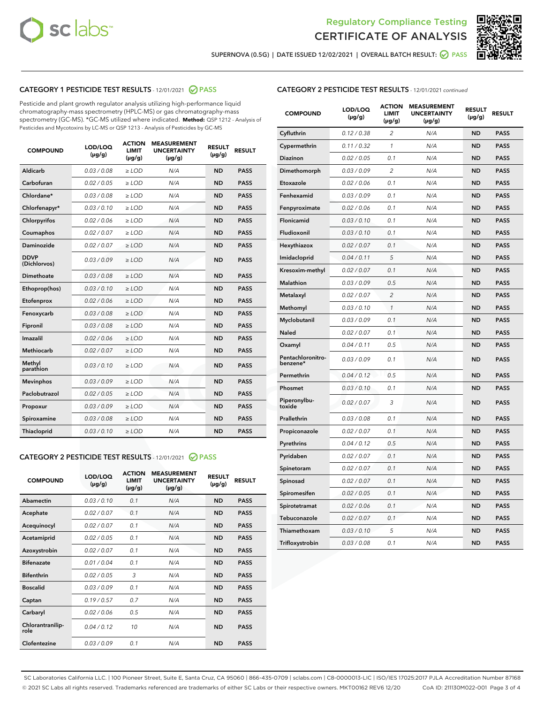



SUPERNOVA (0.5G) | DATE ISSUED 12/02/2021 | OVERALL BATCH RESULT: 2 PASS

## CATEGORY 1 PESTICIDE TEST RESULTS - 12/01/2021 2 PASS

Pesticide and plant growth regulator analysis utilizing high-performance liquid chromatography-mass spectrometry (HPLC-MS) or gas chromatography-mass spectrometry (GC-MS). \*GC-MS utilized where indicated. **Method:** QSP 1212 - Analysis of Pesticides and Mycotoxins by LC-MS or QSP 1213 - Analysis of Pesticides by GC-MS

| <b>COMPOUND</b>             | LOD/LOQ<br>$(\mu g/g)$ | <b>ACTION</b><br><b>LIMIT</b><br>$(\mu g/g)$ | <b>MEASUREMENT</b><br><b>UNCERTAINTY</b><br>$(\mu g/g)$ | <b>RESULT</b><br>$(\mu g/g)$ | <b>RESULT</b> |
|-----------------------------|------------------------|----------------------------------------------|---------------------------------------------------------|------------------------------|---------------|
| Aldicarb                    | 0.03 / 0.08            | $\ge$ LOD                                    | N/A                                                     | <b>ND</b>                    | <b>PASS</b>   |
| Carbofuran                  | 0.02 / 0.05            | $\ge$ LOD                                    | N/A                                                     | <b>ND</b>                    | <b>PASS</b>   |
| Chlordane*                  | 0.03 / 0.08            | $\ge$ LOD                                    | N/A                                                     | <b>ND</b>                    | <b>PASS</b>   |
| Chlorfenapyr*               | 0.03/0.10              | $\ge$ LOD                                    | N/A                                                     | <b>ND</b>                    | <b>PASS</b>   |
| Chlorpyrifos                | 0.02 / 0.06            | $\ge$ LOD                                    | N/A                                                     | <b>ND</b>                    | <b>PASS</b>   |
| Coumaphos                   | 0.02 / 0.07            | $\ge$ LOD                                    | N/A                                                     | <b>ND</b>                    | <b>PASS</b>   |
| Daminozide                  | 0.02 / 0.07            | $\ge$ LOD                                    | N/A                                                     | <b>ND</b>                    | <b>PASS</b>   |
| <b>DDVP</b><br>(Dichlorvos) | 0.03/0.09              | $\ge$ LOD                                    | N/A                                                     | <b>ND</b>                    | <b>PASS</b>   |
| <b>Dimethoate</b>           | 0.03/0.08              | $\ge$ LOD                                    | N/A                                                     | <b>ND</b>                    | <b>PASS</b>   |
| Ethoprop(hos)               | 0.03/0.10              | $\ge$ LOD                                    | N/A                                                     | <b>ND</b>                    | <b>PASS</b>   |
| Etofenprox                  | 0.02 / 0.06            | $>$ LOD                                      | N/A                                                     | <b>ND</b>                    | <b>PASS</b>   |
| Fenoxycarb                  | 0.03 / 0.08            | $\ge$ LOD                                    | N/A                                                     | <b>ND</b>                    | <b>PASS</b>   |
| Fipronil                    | 0.03/0.08              | $>$ LOD                                      | N/A                                                     | <b>ND</b>                    | <b>PASS</b>   |
| Imazalil                    | 0.02 / 0.06            | $\ge$ LOD                                    | N/A                                                     | <b>ND</b>                    | <b>PASS</b>   |
| Methiocarb                  | 0.02 / 0.07            | $\ge$ LOD                                    | N/A                                                     | <b>ND</b>                    | <b>PASS</b>   |
| Methyl<br>parathion         | 0.03/0.10              | $\ge$ LOD                                    | N/A                                                     | <b>ND</b>                    | <b>PASS</b>   |
| <b>Mevinphos</b>            | 0.03/0.09              | $\ge$ LOD                                    | N/A                                                     | <b>ND</b>                    | <b>PASS</b>   |
| Paclobutrazol               | 0.02 / 0.05            | $\ge$ LOD                                    | N/A                                                     | <b>ND</b>                    | <b>PASS</b>   |
| Propoxur                    | 0.03/0.09              | $\ge$ LOD                                    | N/A                                                     | <b>ND</b>                    | <b>PASS</b>   |
| Spiroxamine                 | 0.03 / 0.08            | $\ge$ LOD                                    | N/A                                                     | <b>ND</b>                    | <b>PASS</b>   |
| <b>Thiacloprid</b>          | 0.03/0.10              | $\ge$ LOD                                    | N/A                                                     | <b>ND</b>                    | <b>PASS</b>   |

### CATEGORY 2 PESTICIDE TEST RESULTS - 12/01/2021 @ PASS

| <b>COMPOUND</b>          | LOD/LOO<br>$(\mu g/g)$ | <b>ACTION</b><br>LIMIT<br>$(\mu g/g)$ | <b>MEASUREMENT</b><br><b>UNCERTAINTY</b><br>$(\mu g/g)$ | <b>RESULT</b><br>$(\mu g/g)$ | <b>RESULT</b> |
|--------------------------|------------------------|---------------------------------------|---------------------------------------------------------|------------------------------|---------------|
| Abamectin                | 0.03/0.10              | 0.1                                   | N/A                                                     | <b>ND</b>                    | <b>PASS</b>   |
| Acephate                 | 0.02/0.07              | 0.1                                   | N/A                                                     | <b>ND</b>                    | <b>PASS</b>   |
| Acequinocyl              | 0.02/0.07              | 0.1                                   | N/A                                                     | <b>ND</b>                    | <b>PASS</b>   |
| Acetamiprid              | 0.02/0.05              | 0.1                                   | N/A                                                     | <b>ND</b>                    | <b>PASS</b>   |
| Azoxystrobin             | 0.02/0.07              | 0.1                                   | N/A                                                     | <b>ND</b>                    | <b>PASS</b>   |
| <b>Bifenazate</b>        | 0.01/0.04              | 0.1                                   | N/A                                                     | <b>ND</b>                    | <b>PASS</b>   |
| <b>Bifenthrin</b>        | 0.02/0.05              | 3                                     | N/A                                                     | <b>ND</b>                    | <b>PASS</b>   |
| <b>Boscalid</b>          | 0.03/0.09              | 0.1                                   | N/A                                                     | <b>ND</b>                    | <b>PASS</b>   |
| Captan                   | 0.19/0.57              | 0.7                                   | N/A                                                     | <b>ND</b>                    | <b>PASS</b>   |
| Carbaryl                 | 0.02/0.06              | 0.5                                   | N/A                                                     | <b>ND</b>                    | <b>PASS</b>   |
| Chlorantranilip-<br>role | 0.04/0.12              | 10                                    | N/A                                                     | <b>ND</b>                    | <b>PASS</b>   |
| Clofentezine             | 0.03/0.09              | 0.1                                   | N/A                                                     | <b>ND</b>                    | <b>PASS</b>   |

## CATEGORY 2 PESTICIDE TEST RESULTS - 12/01/2021 continued

| <b>COMPOUND</b>               | LOD/LOQ<br>(µg/g) | <b>ACTION</b><br><b>LIMIT</b><br>$(\mu g/g)$ | <b>MEASUREMENT</b><br><b>UNCERTAINTY</b><br>$(\mu g/g)$ | <b>RESULT</b><br>(µg/g) | <b>RESULT</b> |
|-------------------------------|-------------------|----------------------------------------------|---------------------------------------------------------|-------------------------|---------------|
| Cyfluthrin                    | 0.12 / 0.38       | $\overline{c}$                               | N/A                                                     | ND                      | <b>PASS</b>   |
| Cypermethrin                  | 0.11 / 0.32       | $\mathcal{I}$                                | N/A                                                     | ND                      | <b>PASS</b>   |
| Diazinon                      | 0.02 / 0.05       | 0.1                                          | N/A                                                     | <b>ND</b>               | <b>PASS</b>   |
| Dimethomorph                  | 0.03 / 0.09       | 2                                            | N/A                                                     | ND                      | <b>PASS</b>   |
| Etoxazole                     | 0.02 / 0.06       | 0.1                                          | N/A                                                     | ND                      | <b>PASS</b>   |
| Fenhexamid                    | 0.03 / 0.09       | 0.1                                          | N/A                                                     | <b>ND</b>               | <b>PASS</b>   |
| Fenpyroximate                 | 0.02 / 0.06       | 0.1                                          | N/A                                                     | ND                      | <b>PASS</b>   |
| Flonicamid                    | 0.03 / 0.10       | 0.1                                          | N/A                                                     | ND                      | <b>PASS</b>   |
| Fludioxonil                   | 0.03 / 0.10       | 0.1                                          | N/A                                                     | ND                      | <b>PASS</b>   |
| Hexythiazox                   | 0.02 / 0.07       | 0.1                                          | N/A                                                     | ND                      | <b>PASS</b>   |
| Imidacloprid                  | 0.04 / 0.11       | 5                                            | N/A                                                     | ND                      | <b>PASS</b>   |
| Kresoxim-methyl               | 0.02 / 0.07       | 0.1                                          | N/A                                                     | ND                      | <b>PASS</b>   |
| <b>Malathion</b>              | 0.03 / 0.09       | 0.5                                          | N/A                                                     | ND                      | <b>PASS</b>   |
| Metalaxyl                     | 0.02 / 0.07       | $\overline{c}$                               | N/A                                                     | ND                      | <b>PASS</b>   |
| Methomyl                      | 0.03 / 0.10       | 1                                            | N/A                                                     | <b>ND</b>               | <b>PASS</b>   |
| Myclobutanil                  | 0.03 / 0.09       | 0.1                                          | N/A                                                     | ND                      | <b>PASS</b>   |
| Naled                         | 0.02 / 0.07       | 0.1                                          | N/A                                                     | ND                      | <b>PASS</b>   |
| Oxamyl                        | 0.04 / 0.11       | 0.5                                          | N/A                                                     | ND                      | <b>PASS</b>   |
| Pentachloronitro-<br>benzene* | 0.03 / 0.09       | 0.1                                          | N/A                                                     | ND                      | <b>PASS</b>   |
| Permethrin                    | 0.04 / 0.12       | 0.5                                          | N/A                                                     | ND                      | <b>PASS</b>   |
| Phosmet                       | 0.03 / 0.10       | 0.1                                          | N/A                                                     | ND                      | <b>PASS</b>   |
| Piperonylbu-<br>toxide        | 0.02 / 0.07       | 3                                            | N/A                                                     | ND                      | <b>PASS</b>   |
| Prallethrin                   | 0.03 / 0.08       | 0.1                                          | N/A                                                     | ND                      | <b>PASS</b>   |
| Propiconazole                 | 0.02 / 0.07       | 0.1                                          | N/A                                                     | ND                      | <b>PASS</b>   |
| Pyrethrins                    | 0.04 / 0.12       | 0.5                                          | N/A                                                     | ND                      | <b>PASS</b>   |
| Pyridaben                     | 0.02 / 0.07       | 0.1                                          | N/A                                                     | ND                      | <b>PASS</b>   |
| Spinetoram                    | 0.02 / 0.07       | 0.1                                          | N/A                                                     | ND                      | <b>PASS</b>   |
| Spinosad                      | 0.02 / 0.07       | 0.1                                          | N/A                                                     | ND                      | <b>PASS</b>   |
| Spiromesifen                  | 0.02 / 0.05       | 0.1                                          | N/A                                                     | <b>ND</b>               | <b>PASS</b>   |
| Spirotetramat                 | 0.02 / 0.06       | 0.1                                          | N/A                                                     | ND                      | <b>PASS</b>   |
| Tebuconazole                  | 0.02 / 0.07       | 0.1                                          | N/A                                                     | ND                      | <b>PASS</b>   |
| Thiamethoxam                  | 0.03 / 0.10       | 5                                            | N/A                                                     | ND                      | <b>PASS</b>   |
| Trifloxystrobin               | 0.03 / 0.08       | 0.1                                          | N/A                                                     | <b>ND</b>               | <b>PASS</b>   |

SC Laboratories California LLC. | 100 Pioneer Street, Suite E, Santa Cruz, CA 95060 | 866-435-0709 | sclabs.com | C8-0000013-LIC | ISO/IES 17025:2017 PJLA Accreditation Number 87168 © 2021 SC Labs all rights reserved. Trademarks referenced are trademarks of either SC Labs or their respective owners. MKT00162 REV6 12/20 CoA ID: 211130M022-001 Page 3 of 4